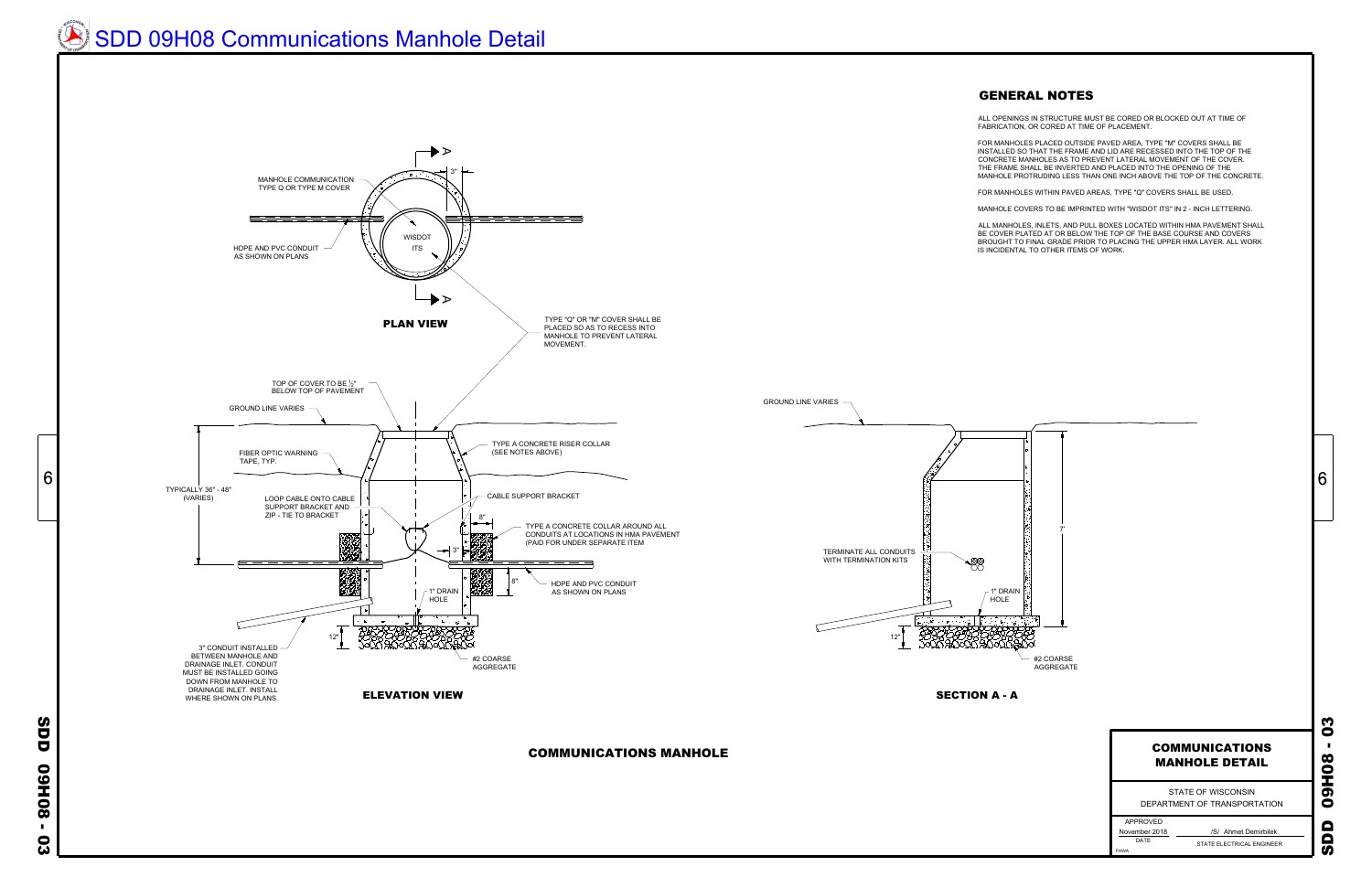ALL OPENINGS IN STRUCTURE MUST BE CORED OR BLOCKED OUT AT TIME OF FABRICATION, OR CORED AT TIME OF PLACEMENT.

FOR MANHOLES PLACED OUTSIDE PAVED AREA, TYPE "M" COVERS SHALL BE INSTALLED SO THAT THE FRAME AND LID ARE RECESSED INTO THE TOP OF THE CONCRETE MANHOLES AS TO PREVENT LATERAL MOVEMENT OF THE COVER. THE FRAME SHALL BE INVERTED AND PLACED INTO THE OPENING OF THE MANHOLE PROTRUDING LESS THAN ONE INCH ABOVE THE TOP OF THE CONCRETE.

FOR MANHOLES WITHIN PAVED AREAS, TYPE "Q" COVERS SHALL BE USED.

MANHOLE COVERS TO BE IMPRINTED WITH "WISDOT ITS" IN 2 - INCH LETTERING.

ALL MANHOLES, INLETS, AND PULL BOXES LOCATED WITHIN HMA PAVEMENT SHALL BE COVER PLATED AT OR BELOW THE TOP OF THE BASE COURSE AND COVERS BROUGHT TO FINAL GRADE PRIOR TO PLACING THE UPPER HMA LAYER. ALL WORK IS INCIDENTAL TO OTHER ITEMS OF WORK.

COMMUNICATIONS MANHOLE

STATE OF WISCONSIN **MANHOLE DETAIL<br>
STATE OF WISCONSIN<br>
DEPARTMENT OF TRANSPORTATION** 

APPROVED November 2018

STATE ELECTRICAL ENGINEER November 2018 **Alleman Constructs** /S/ Ahmet Demirbilek



FHWA

## COMMUNICATIONS MANHOLE DETAIL